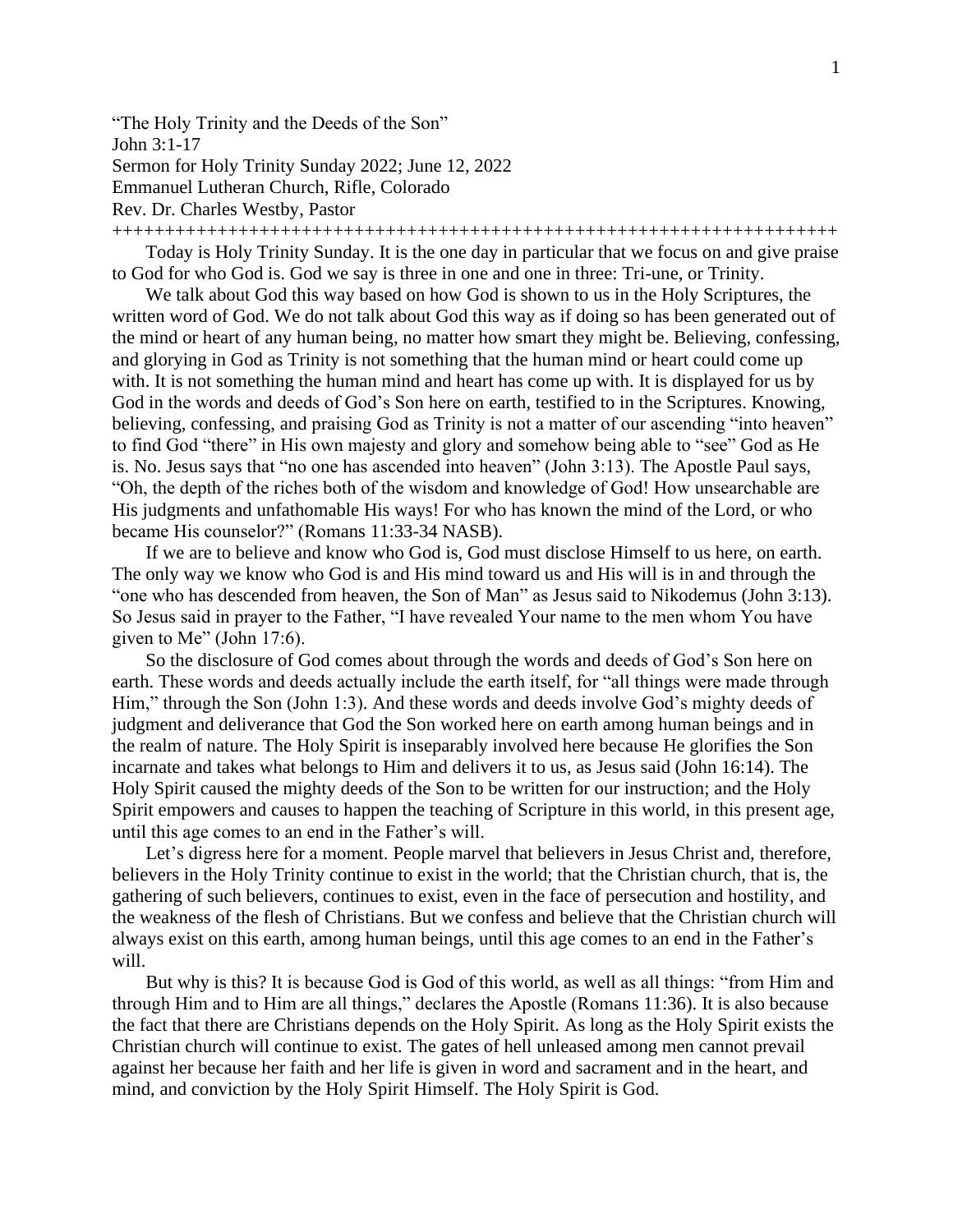"The Holy Trinity and the Deeds of the Son" John 3:1-17 Sermon for Holy Trinity Sunday 2022; June 12, 2022

Emmanuel Lutheran Church, Rifle, Colorado

Rev. Dr. Charles Westby, Pastor

+++++++++++++++++++++++++++++++++++++++++++++++++++++++++++++++++++++

Today is Holy Trinity Sunday. It is the one day in particular that we focus on and give praise to God for who God is. God we say is three in one and one in three: Tri-une, or Trinity.

We talk about God this way based on how God is shown to us in the Holy Scriptures, the written word of God. We do not talk about God this way as if doing so has been generated out of the mind or heart of any human being, no matter how smart they might be. Believing, confessing, and glorying in God as Trinity is not something that the human mind or heart could come up with. It is not something the human mind and heart has come up with. It is displayed for us by God in the words and deeds of God's Son here on earth, testified to in the Scriptures. Knowing, believing, confessing, and praising God as Trinity is not a matter of our ascending "into heaven" to find God "there" in His own majesty and glory and somehow being able to "see" God as He is. No. Jesus says that "no one has ascended into heaven" (John 3:13). The Apostle Paul says, "Oh, the depth of the riches both of the wisdom and knowledge of God! How unsearchable are His judgments and unfathomable His ways! For who has known the mind of the Lord, or who became His counselor?" (Romans 11:33-34 NASB).

If we are to believe and know who God is, God must disclose Himself to us here, on earth. The only way we know who God is and His mind toward us and His will is in and through the "one who has descended from heaven, the Son of Man" as Jesus said to Nikodemus (John 3:13). So Jesus said in prayer to the Father, "I have revealed Your name to the men whom You have given to Me" (John 17:6).

So the disclosure of God comes about through the words and deeds of God's Son here on earth. These words and deeds actually include the earth itself, for "all things were made through Him," through the Son (John 1:3). And these words and deeds involve God's mighty deeds of judgment and deliverance that God the Son worked here on earth among human beings and in the realm of nature. The Holy Spirit is inseparably involved here because He glorifies the Son incarnate and takes what belongs to Him and delivers it to us, as Jesus said (John 16:14). The Holy Spirit caused the mighty deeds of the Son to be written for our instruction; and the Holy Spirit empowers and causes to happen the teaching of Scripture in this world, in this present age, until this age comes to an end in the Father's will.

Let's digress here for a moment. People marvel that believers in Jesus Christ and, therefore, believers in the Holy Trinity continue to exist in the world; that the Christian church, that is, the gathering of such believers, continues to exist, even in the face of persecution and hostility, and the weakness of the flesh of Christians. But we confess and believe that the Christian church will always exist on this earth, among human beings, until this age comes to an end in the Father's will.

But why is this? It is because God is God of this world, as well as all things: "from Him and through Him and to Him are all things," declares the Apostle (Romans 11:36). It is also because the fact that there are Christians depends on the Holy Spirit. As long as the Holy Spirit exists the Christian church will continue to exist. The gates of hell unleased among men cannot prevail against her because her faith and her life is given in word and sacrament and in the heart, and mind, and conviction by the Holy Spirit Himself. The Holy Spirit is God.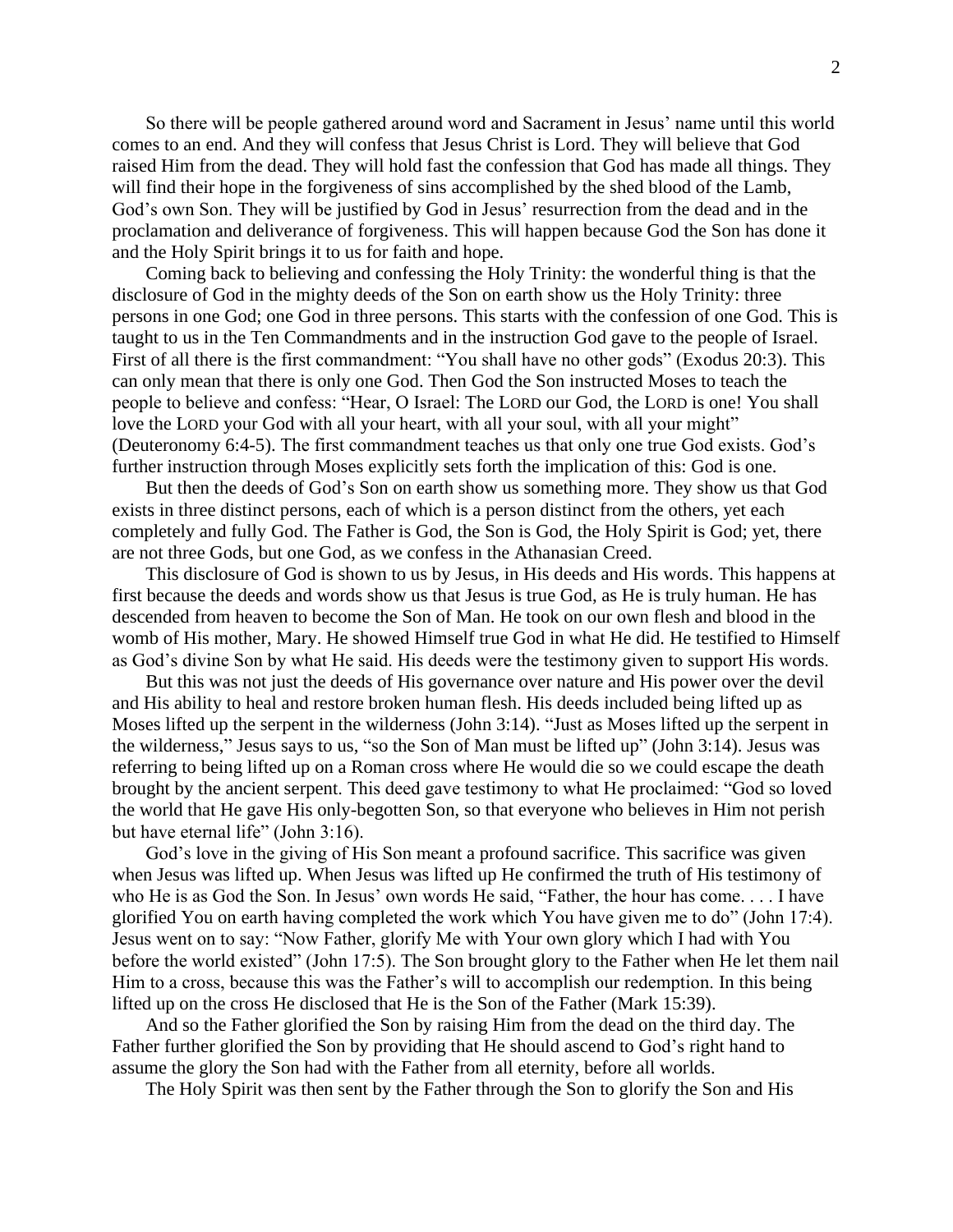So there will be people gathered around word and Sacrament in Jesus' name until this world comes to an end. And they will confess that Jesus Christ is Lord. They will believe that God raised Him from the dead. They will hold fast the confession that God has made all things. They will find their hope in the forgiveness of sins accomplished by the shed blood of the Lamb, God's own Son. They will be justified by God in Jesus' resurrection from the dead and in the proclamation and deliverance of forgiveness. This will happen because God the Son has done it and the Holy Spirit brings it to us for faith and hope.

Coming back to believing and confessing the Holy Trinity: the wonderful thing is that the disclosure of God in the mighty deeds of the Son on earth show us the Holy Trinity: three persons in one God; one God in three persons. This starts with the confession of one God. This is taught to us in the Ten Commandments and in the instruction God gave to the people of Israel. First of all there is the first commandment: "You shall have no other gods" (Exodus 20:3). This can only mean that there is only one God. Then God the Son instructed Moses to teach the people to believe and confess: "Hear, O Israel: The LORD our God, the LORD is one! You shall love the LORD your God with all your heart, with all your soul, with all your might" (Deuteronomy 6:4-5). The first commandment teaches us that only one true God exists. God's further instruction through Moses explicitly sets forth the implication of this: God is one.

But then the deeds of God's Son on earth show us something more. They show us that God exists in three distinct persons, each of which is a person distinct from the others, yet each completely and fully God. The Father is God, the Son is God, the Holy Spirit is God; yet, there are not three Gods, but one God, as we confess in the Athanasian Creed.

This disclosure of God is shown to us by Jesus, in His deeds and His words. This happens at first because the deeds and words show us that Jesus is true God, as He is truly human. He has descended from heaven to become the Son of Man. He took on our own flesh and blood in the womb of His mother, Mary. He showed Himself true God in what He did. He testified to Himself as God's divine Son by what He said. His deeds were the testimony given to support His words.

But this was not just the deeds of His governance over nature and His power over the devil and His ability to heal and restore broken human flesh. His deeds included being lifted up as Moses lifted up the serpent in the wilderness (John 3:14). "Just as Moses lifted up the serpent in the wilderness," Jesus says to us, "so the Son of Man must be lifted up" (John 3:14). Jesus was referring to being lifted up on a Roman cross where He would die so we could escape the death brought by the ancient serpent. This deed gave testimony to what He proclaimed: "God so loved the world that He gave His only-begotten Son, so that everyone who believes in Him not perish but have eternal life" (John 3:16).

God's love in the giving of His Son meant a profound sacrifice. This sacrifice was given when Jesus was lifted up. When Jesus was lifted up He confirmed the truth of His testimony of who He is as God the Son. In Jesus' own words He said, "Father, the hour has come. . . . I have glorified You on earth having completed the work which You have given me to do" (John 17:4). Jesus went on to say: "Now Father, glorify Me with Your own glory which I had with You before the world existed" (John 17:5). The Son brought glory to the Father when He let them nail Him to a cross, because this was the Father's will to accomplish our redemption. In this being lifted up on the cross He disclosed that He is the Son of the Father (Mark 15:39).

And so the Father glorified the Son by raising Him from the dead on the third day. The Father further glorified the Son by providing that He should ascend to God's right hand to assume the glory the Son had with the Father from all eternity, before all worlds.

The Holy Spirit was then sent by the Father through the Son to glorify the Son and His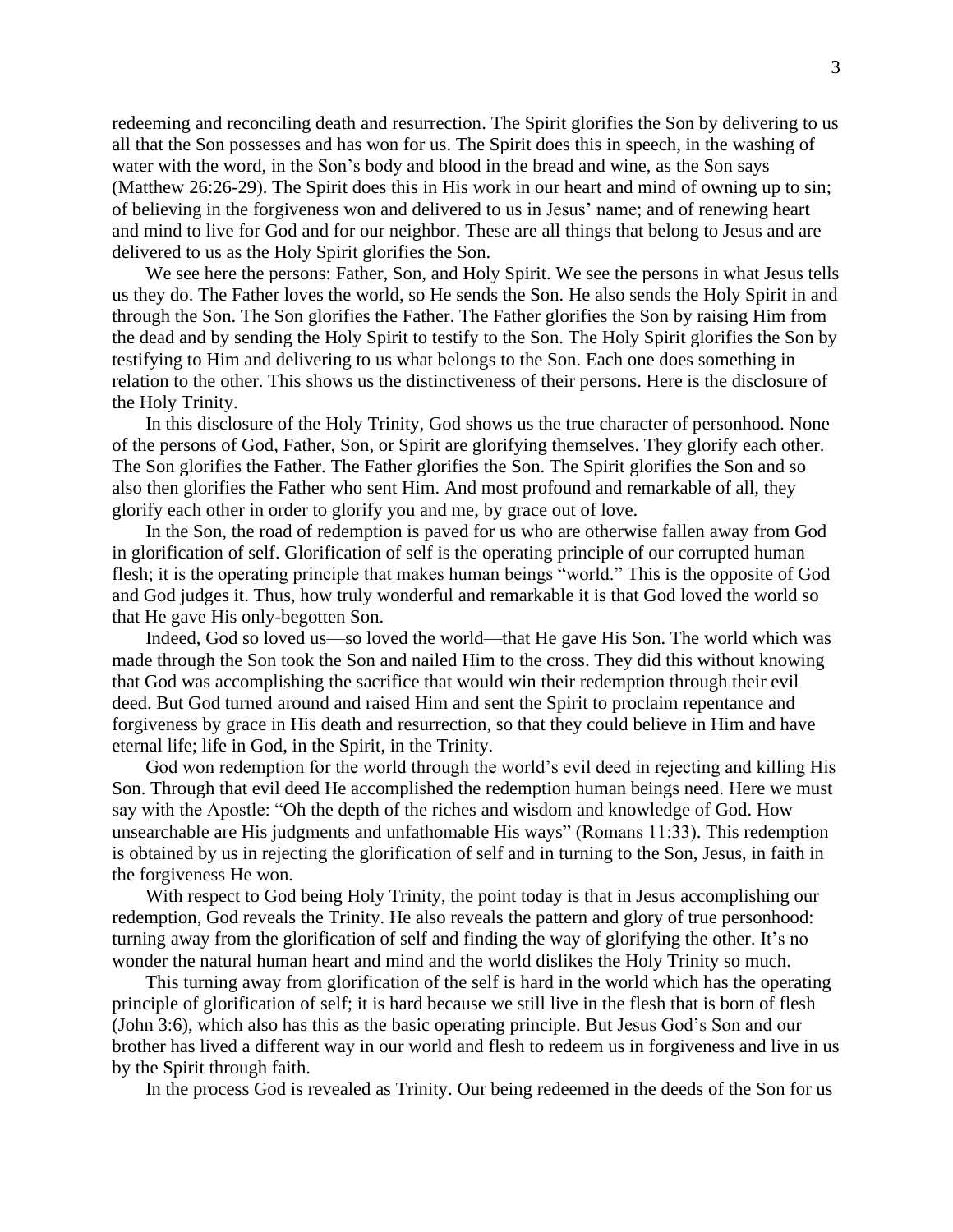redeeming and reconciling death and resurrection. The Spirit glorifies the Son by delivering to us all that the Son possesses and has won for us. The Spirit does this in speech, in the washing of water with the word, in the Son's body and blood in the bread and wine, as the Son says (Matthew 26:26-29). The Spirit does this in His work in our heart and mind of owning up to sin; of believing in the forgiveness won and delivered to us in Jesus' name; and of renewing heart and mind to live for God and for our neighbor. These are all things that belong to Jesus and are delivered to us as the Holy Spirit glorifies the Son.

We see here the persons: Father, Son, and Holy Spirit. We see the persons in what Jesus tells us they do. The Father loves the world, so He sends the Son. He also sends the Holy Spirit in and through the Son. The Son glorifies the Father. The Father glorifies the Son by raising Him from the dead and by sending the Holy Spirit to testify to the Son. The Holy Spirit glorifies the Son by testifying to Him and delivering to us what belongs to the Son. Each one does something in relation to the other. This shows us the distinctiveness of their persons. Here is the disclosure of the Holy Trinity.

In this disclosure of the Holy Trinity, God shows us the true character of personhood. None of the persons of God, Father, Son, or Spirit are glorifying themselves. They glorify each other. The Son glorifies the Father. The Father glorifies the Son. The Spirit glorifies the Son and so also then glorifies the Father who sent Him. And most profound and remarkable of all, they glorify each other in order to glorify you and me, by grace out of love.

In the Son, the road of redemption is paved for us who are otherwise fallen away from God in glorification of self. Glorification of self is the operating principle of our corrupted human flesh; it is the operating principle that makes human beings "world." This is the opposite of God and God judges it. Thus, how truly wonderful and remarkable it is that God loved the world so that He gave His only-begotten Son.

Indeed, God so loved us—so loved the world—that He gave His Son. The world which was made through the Son took the Son and nailed Him to the cross. They did this without knowing that God was accomplishing the sacrifice that would win their redemption through their evil deed. But God turned around and raised Him and sent the Spirit to proclaim repentance and forgiveness by grace in His death and resurrection, so that they could believe in Him and have eternal life; life in God, in the Spirit, in the Trinity.

God won redemption for the world through the world's evil deed in rejecting and killing His Son. Through that evil deed He accomplished the redemption human beings need. Here we must say with the Apostle: "Oh the depth of the riches and wisdom and knowledge of God. How unsearchable are His judgments and unfathomable His ways" (Romans 11:33). This redemption is obtained by us in rejecting the glorification of self and in turning to the Son, Jesus, in faith in the forgiveness He won.

With respect to God being Holy Trinity, the point today is that in Jesus accomplishing our redemption, God reveals the Trinity. He also reveals the pattern and glory of true personhood: turning away from the glorification of self and finding the way of glorifying the other. It's no wonder the natural human heart and mind and the world dislikes the Holy Trinity so much.

This turning away from glorification of the self is hard in the world which has the operating principle of glorification of self; it is hard because we still live in the flesh that is born of flesh (John 3:6), which also has this as the basic operating principle. But Jesus God's Son and our brother has lived a different way in our world and flesh to redeem us in forgiveness and live in us by the Spirit through faith.

In the process God is revealed as Trinity. Our being redeemed in the deeds of the Son for us